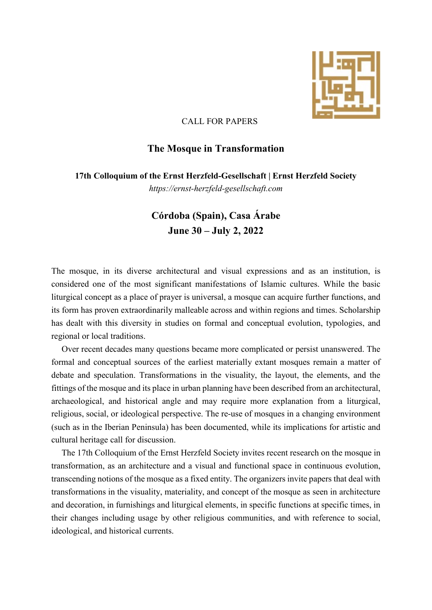

## CALL FOR PAPERS

## **The Mosque in Transformation**

**17th Colloquium of the Ernst Herzfeld-Gesellschaft | Ernst Herzfeld Society**

*https://ernst-herzfeld-gesellschaft.com*

## **Córdoba (Spain), Casa Árabe June 30 – July 2, 2022**

The mosque, in its diverse architectural and visual expressions and as an institution, is considered one of the most significant manifestations of Islamic cultures. While the basic liturgical concept as a place of prayer is universal, a mosque can acquire further functions, and its form has proven extraordinarily malleable across and within regions and times. Scholarship has dealt with this diversity in studies on formal and conceptual evolution, typologies, and regional or local traditions.

Over recent decades many questions became more complicated or persist unanswered. The formal and conceptual sources of the earliest materially extant mosques remain a matter of debate and speculation. Transformations in the visuality, the layout, the elements, and the fittings of the mosque and its place in urban planning have been described from an architectural, archaeological, and historical angle and may require more explanation from a liturgical, religious, social, or ideological perspective. The re-use of mosques in a changing environment (such as in the Iberian Peninsula) has been documented, while its implications for artistic and cultural heritage call for discussion.

The 17th Colloquium of the Ernst Herzfeld Society invites recent research on the mosque in transformation, as an architecture and a visual and functional space in continuous evolution, transcending notions of the mosque as a fixed entity. The organizers invite papers that deal with transformations in the visuality, materiality, and concept of the mosque as seen in architecture and decoration, in furnishings and liturgical elements, in specific functions at specific times, in their changes including usage by other religious communities, and with reference to social, ideological, and historical currents.